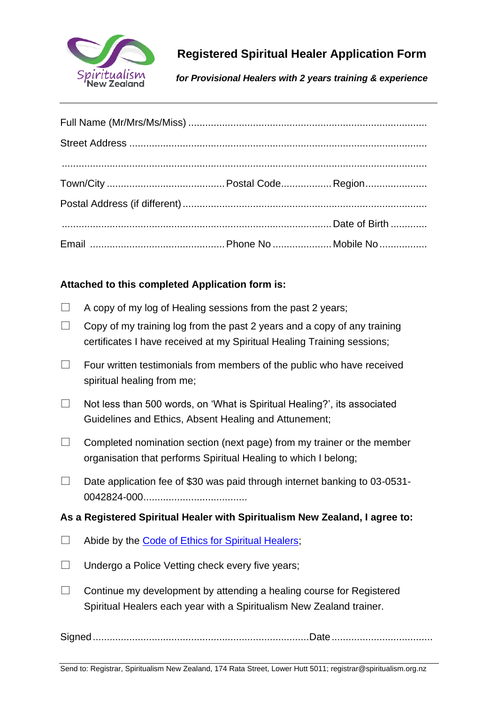

# **Registered Spiritual Healer Application Form**

*for Provisional Healers with 2 years training & experience*

### **Attached to this completed Application form is:**

- $\Box$  A copy of my log of Healing sessions from the past 2 years;
- $\Box$  Copy of my training log from the past 2 years and a copy of any training certificates I have received at my Spiritual Healing Training sessions;
- $\Box$  Four written testimonials from members of the public who have received spiritual healing from me;
- $\Box$  Not less than 500 words, on 'What is Spiritual Healing?', its associated Guidelines and Ethics, Absent Healing and Attunement;
- $\Box$  Completed nomination section (next page) from my trainer or the member organisation that performs Spiritual Healing to which I belong;
- $\Box$  Date application fee of \$30 was paid through internet banking to 03-0531-0042824-000.....................................

#### **As a Registered Spiritual Healer with Spiritualism New Zealand, I agree to:**

- $\Box$  Abide by the [Code of Ethics for Spiritual Healers;](https://spiritualism.org.nz/wp-content/uploads/2017/12/Spiritual-Healers-Code-of-Ethics.pdf)
- $\Box$  Undergo a Police Vetting check every five years;
- $\Box$  Continue my development by attending a healing course for Registered Spiritual Healers each year with a Spiritualism New Zealand trainer.

Signed.............................................................................Date....................................